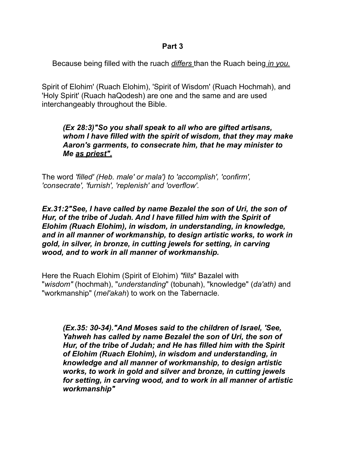Because being filled with the ruach *differs* than the Ruach being *in you.* 

Spirit of Elohim' (Ruach Elohim), 'Spirit of Wisdom' (Ruach Hochmah), and 'Holy Spirit' (Ruach haQodesh) are one and the same and are used interchangeably throughout the Bible.

## *(Ex 28:3)"So you shall speak to all who are gifted artisans, whom I have filled with the spirit of wisdom, that they may make Aaron's garments, to consecrate him, that he may minister to Me as priest".*

The word *'filled' (Heb. male' or mala') to 'accomplish', 'confirm', 'consecrate', 'furnish', 'replenish' and 'overflow'.* 

*Ex.31:2"See, I have called by name Bezalel the son of Uri, the son of Hur, of the tribe of Judah. And I have filled him with the Spirit of Elohim (Ruach Elohim), in wisdom, in understanding, in knowledge, and in all manner of workmanship, to design artistic works, to work in gold, in silver, in bronze, in cutting jewels for setting, in carving wood, and to work in all manner of workmanship.* 

Here the Ruach Elohim (Spirit of Elohim) *"fills*" Bazalel with "*wisdom"* (hochmah), "*understanding*" (tobunah), "knowledge" (*da'ath)* and "workmanship" (*mel'akah*) to work on the Tabernacle.

*(Ex.35: 30-34)."And Moses said to the children of Israel, 'See, Yahweh has called by name Bezalel the son of Uri, the son of Hur, of the tribe of Judah; and He has filled him with the Spirit of Elohim (Ruach Elohim), in wisdom and understanding, in knowledge and all manner of workmanship, to design artistic works, to work in gold and silver and bronze, in cutting jewels for setting, in carving wood, and to work in all manner of artistic workmanship"*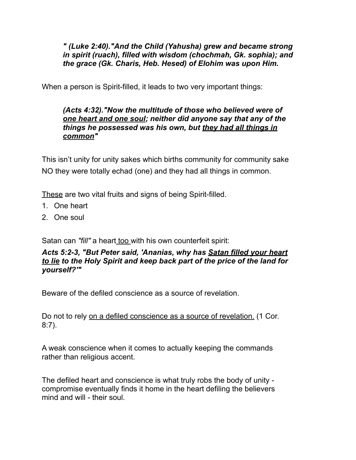*" (Luke 2:40)."And the Child (Yahusha) grew and became strong in spirit (ruach), filled with wisdom (chochmah, Gk. sophia); and the grace (Gk. Charis, Heb. Hesed) of Elohim was upon Him.* 

When a person is Spirit-filled, it leads to two very important things:

## *(Acts 4:32)."Now the multitude of those who believed were of one heart and one soul; neither did anyone say that any of the things he possessed was his own, but they had all things in common"*

This isn't unity for unity sakes which births community for community sake NO they were totally echad (one) and they had all things in common.

These are two vital fruits and signs of being Spirit-filled.

- 1. One heart
- 2. One soul

Satan can *"fill"* a heart too with his own counterfeit spirit:

## *Acts 5:2-3, "But Peter said, 'Ananias, why has Satan filled your heart to lie to the Holy Spirit and keep back part of the price of the land for yourself?'"*

Beware of the defiled conscience as a source of revelation.

Do not to rely on a defiled conscience as a source of revelation. (1 Cor. 8:7).

A weak conscience when it comes to actually keeping the commands rather than religious accent.

The defiled heart and conscience is what truly robs the body of unity compromise eventually finds it home in the heart defiling the believers mind and will - their soul.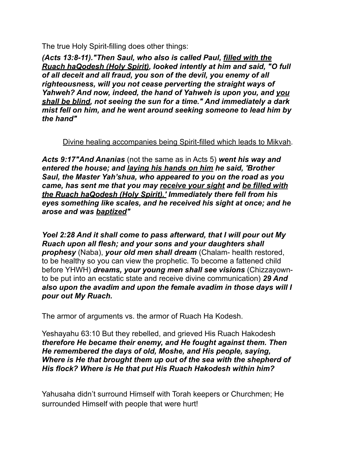The true Holy Spirit-filling does other things:

*(Acts 13:8-11)."Then Saul, who also is called Paul, filled with the Ruach haQodesh (Holy Spirit), looked intently at him and said, "O full of all deceit and all fraud, you son of the devil, you enemy of all righteousness, will you not cease perverting the straight ways of Yahweh? And now, indeed, the hand of Yahweh is upon you, and you shall be blind, not seeing the sun for a time." And immediately a dark mist fell on him, and he went around seeking someone to lead him by the hand"* 

Divine healing accompanies being Spirit-filled which leads to Mikvah.

*Acts 9:17"And Ananias* (not the same as in Acts 5) *went his way and entered the house; and laying his hands on him he said, 'Brother Saul, the Master Yah'shua, who appeared to you on the road as you came, has sent me that you may receive your sight and be filled with the Ruach haQodesh (Holy Spirit).' Immediately there fell from his eyes something like scales, and he received his sight at once; and he arose and was baptized"* 

*Yoel 2:28 And it shall come to pass afterward, that I will pour out My Ruach upon all flesh; and your sons and your daughters shall prophesy* (Naba), *your old men shall dream* (Chalam- health restored, to be healthy so you can view the prophetic. To become a fattened child before YHWH) *dreams, your young men shall see visions* (Chizzayownto be put into an ecstatic state and receive divine communication) *29 And also upon the avadim and upon the female avadim in those days will I pour out My Ruach.* 

The armor of arguments vs. the armor of Ruach Ha Kodesh.

Yeshayahu 63:10 But they rebelled, and grieved His Ruach Hakodesh *therefore He became their enemy, and He fought against them. Then He remembered the days of old, Moshe, and His people, saying, Where is He that brought them up out of the sea with the shepherd of His flock? Where is He that put His Ruach Hakodesh within him?* 

Yahusaha didn't surround Himself with Torah keepers or Churchmen; He surrounded Himself with people that were hurt!